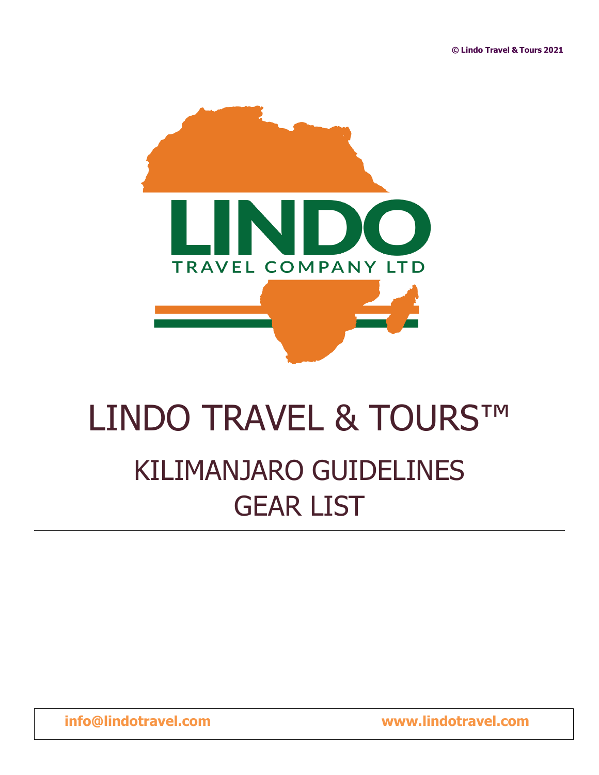

# LINDO TRAVEL & TOURS™ KILIMANJARO GUIDELINES GEAR LIST

**[info@lindotravel.com](mailto:info@lindotravel.com) www.lindotravel.com**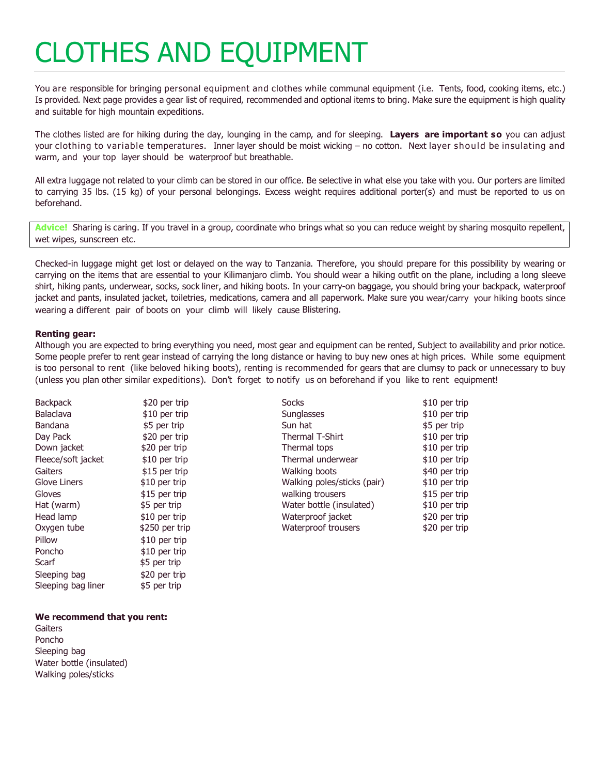# CLOTHES AND EQUIPMENT

You are responsible for bringing personal equipment and clothes while communal equipment (i.e. Tents, food, cooking items, etc.) Is provided. Next page provides a gear list of required, recommended and optional items to bring. Make sure the equipment is high quality and suitable for high mountain expeditions.

The clothes listed are for hiking during the day, lounging in the camp, and for sleeping. **Layers are important so** you can adjust your clothing to variable temperatures. Inner layer should be moist wicking – no cotton. Next layer should be insulating and warm, and your top layer should be waterproof but breathable.

All extra luggage not related to your climb can be stored in our office. Be selective in what else you take with you. Our porters are limited to carrying 35 lbs. (15 kg) of your personal belongings. Excess weight requires additional porter(s) and must be reported to us on beforehand.

**Advice!** Sharing is caring. If you travel in a group, coordinate who brings what so you can reduce weight by sharing mosquito repellent, wet wipes, sunscreen etc.

Checked-in luggage might get lost or delayed on the way to Tanzania. Therefore, you should prepare for this possibility by wearing or carrying on the items that are essential to your Kilimanjaro climb. You should wear a hiking outfit on the plane, including a long sleeve shirt, hiking pants, underwear, socks, sock liner, and hiking boots. In your carry-on baggage, you should bring your backpack, waterproof jacket and pants, insulated jacket, toiletries, medications, camera and all paperwork. Make sure you wear/carry your hiking boots since wearing a different pair of boots on your climb will likely cause Blistering.

#### **Renting gear:**

Although you are expected to bring everything you need, most gear and equipment can be rented, Subject to availability and prior notice. Some people prefer to rent gear instead of carrying the long distance or having to buy new ones at high prices. While some equipment is too personal to rent (like beloved hiking boots), renting is recommended for gears that are clumsy to pack or unnecessary to buy (unless you plan other similar expeditions). Don't forget to notify us on beforehand if you like to rent equipment!

**Backpack** Balaclava \$20 per trip \$10 per trip Day Pack Down jacket \$20 per trip \$20 per trip **Gaiters** Glove Liners \$15 per trip \$10 per trip Gloves Hat (warm) \$15 per trip \$5 per trip Head lamp Oxygen tube \$10 per trip \$250 per trip Pillow \$10 per trip Poncho Scarf \$10 per trip \$5 per trip Sleeping bag Sleeping bag liner \$20 per trip \$5 per trip

#### **We recommend that you rent:**

**Gaiters** Poncho Sleeping bag Water bottle (insulated) Walking poles/sticks

**Socks Sunglasses** \$10 per trip \$10 per trip Bandana \$5 per trip Sun hat \$5 per trip Thermal T-Shirt Thermal tops \$10 per trip \$10 per trip Fleece/soft jacket  $$10$  per trip Thermal underwear  $$10$  per trip Walking boots Walking poles/sticks (pair) \$40 per trip \$10 per trip walking trousers Water bottle (insulated) \$15 per trip \$10 per trip Waterproof jacket Waterproof trousers \$20 per trip \$20 per trip